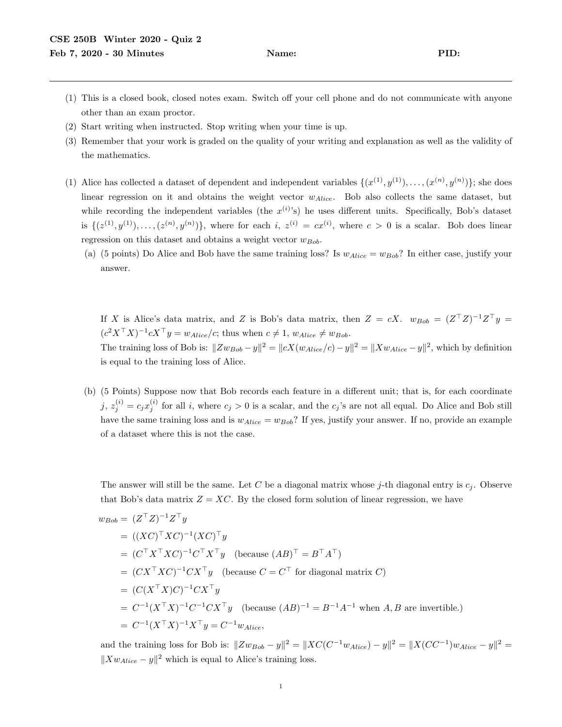- (1) This is a closed book, closed notes exam. Switch off your cell phone and do not communicate with anyone other than an exam proctor.
- (2) Start writing when instructed. Stop writing when your time is up.
- (3) Remember that your work is graded on the quality of your writing and explanation as well as the validity of the mathematics.
- (1) Alice has collected a dataset of dependent and independent variables  $\{(x^{(1)}, y^{(1)}), \ldots, (x^{(n)}, y^{(n)})\}$ ; she does linear regression on it and obtains the weight vector  $w_{Alice}$ . Bob also collects the same dataset, but while recording the independent variables (the  $x^{(i)}$ 's) he uses different units. Specifically, Bob's dataset is  $\{(z^{(1)}, y^{(1)}), \ldots, (z^{(n)}, y^{(n)})\},\$  where for each  $i, z^{(i)} = cx^{(i)},\$  where  $c > 0$  is a scalar. Bob does linear regression on this dataset and obtains a weight vector  $w_{Bob}$ .
	- (a) (5 points) Do Alice and Bob have the same training loss? Is  $w_{Alice} = w_{Bob}$ ? In either case, justify your answer.

If X is Alice's data matrix, and Z is Bob's data matrix, then  $Z = cX$ .  $w_{Bob} = (Z^{\top}Z)^{-1}Z^{\top}y =$  $(c^2 X^\top X)^{-1} c X^\top y = w_{Alice}/c$ ; thus when  $c \neq 1$ ,  $w_{Alice} \neq w_{Bob}$ . The training loss of Bob is:  $\|Zw_{Bob} - y\|^2 = \|cX(w_{Alice}/c) - y\|^2 = \|Xw_{Alice} - y\|^2$ , which by definition is equal to the training loss of Alice.

(b) (5 Points) Suppose now that Bob records each feature in a different unit; that is, for each coordinate  $j, z_j^{(i)} = c_j x_j^{(i)}$  for all i, where  $c_j > 0$  is a scalar, and the  $c_j$ 's are not all equal. Do Alice and Bob still have the same training loss and is  $w_{Alice} = w_{Bob}$ ? If yes, justify your answer. If no, provide an example of a dataset where this is not the case.

The answer will still be the same. Let C be a diagonal matrix whose j-th diagonal entry is  $c_i$ . Observe that Bob's data matrix  $Z = XC$ . By the closed form solution of linear regression, we have

$$
w_{Bob} = (Z^{\top}Z)^{-1}Z^{\top}y
$$
  
\n
$$
= ((XC)^{\top}XC)^{-1}(XC)^{\top}y
$$
  
\n
$$
= (C^{\top}X^{\top}XC)^{-1}C^{\top}X^{\top}y \quad \text{(because } (AB)^{\top} = B^{\top}A^{\top})
$$
  
\n
$$
= (CX^{\top}XC)^{-1}CX^{\top}y \quad \text{(because } C = C^{\top} \text{ for diagonal matrix } C)
$$
  
\n
$$
= (C(X^{\top}X)C)^{-1}CX^{\top}y
$$
  
\n
$$
= C^{-1}(X^{\top}X)^{-1}C^{-1}CX^{\top}y \quad \text{(because } (AB)^{-1} = B^{-1}A^{-1} \text{ when } A, B \text{ are invertible.)}
$$
  
\n
$$
= C^{-1}(X^{\top}X)^{-1}X^{\top}y = C^{-1}w_{Alice},
$$

and the training loss for Bob is:  $\|Zw_{Bob} - y\|^2 = \|XC(C^{-1}w_{Alice}) - y\|^2 = \|X(CC^{-1})w_{Alice} - y\|^2 =$  $\|Xw_{Alice} - y\|^2$  which is equal to Alice's training loss.